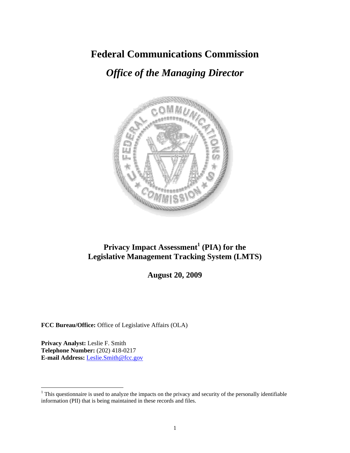## **Federal Communications Commission**

# *Office of the Managing Director*



## **Privacy Impact Assessment<sup>1</sup> (PIA) for the Legislative Management Tracking System (LMTS)**

**August 20, 2009** 

**FCC Bureau/Office:** Office of Legislative Affairs (OLA)

**Privacy Analyst:** Leslie F. Smith **Telephone Number:** (202) 418-0217 **E-mail Address:** Leslie.Smith@fcc.gov

 $\overline{a}$ 

 $1$ <sup>1</sup> This questionnaire is used to analyze the impacts on the privacy and security of the personally identifiable information (PII) that is being maintained in these records and files.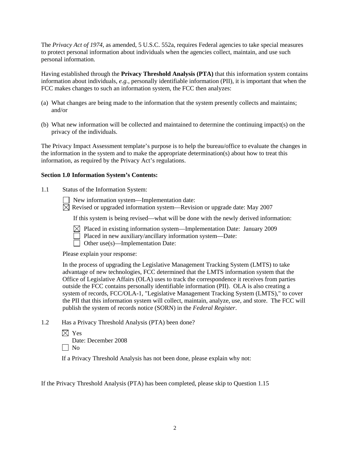The *Privacy Act of 1974*, as amended, 5 U.S.C. 552a, requires Federal agencies to take special measures to protect personal information about individuals when the agencies collect, maintain, and use such personal information.

Having established through the **Privacy Threshold Analysis (PTA)** that this information system contains information about individuals, *e.g.*, personally identifiable information (PII), it is important that when the FCC makes changes to such an information system, the FCC then analyzes:

- (a) What changes are being made to the information that the system presently collects and maintains; and/or
- (b) What new information will be collected and maintained to determine the continuing impact(s) on the privacy of the individuals.

The Privacy Impact Assessment template's purpose is to help the bureau/office to evaluate the changes in the information in the system and to make the appropriate determination(s) about how to treat this information, as required by the Privacy Act's regulations.

#### **Section 1.0 Information System's Contents:**

1.1 Status of the Information System:

New information system—Implementation date:

 $\boxtimes$  Revised or upgraded information system—Revision or upgrade date: May 2007

If this system is being revised—what will be done with the newly derived information:

 $\boxtimes$  Placed in existing information system—Implementation Date: January 2009

Placed in new auxiliary/ancillary information system—Date:

 $\Box$  Other use(s)—Implementation Date:

Please explain your response:

In the process of upgrading the Legislative Management Tracking System (LMTS) to take advantage of new technologies, FCC determined that the LMTS information system that the Office of Legislative Affairs (OLA) uses to track the correspondence it receives from parties outside the FCC contains personally identifiable information (PII). OLA is also creating a system of records, FCC/OLA-1, "Legislative Management Tracking System (LMTS)," to cover the PII that this information system will collect, maintain, analyze, use, and store. The FCC will publish the system of records notice (SORN) in the *Federal Register*.

1.2 Has a Privacy Threshold Analysis (PTA) been done?

 $\times$  Yes Date: December 2008  $\Box$  No

If a Privacy Threshold Analysis has not been done, please explain why not:

If the Privacy Threshold Analysis (PTA) has been completed, please skip to Question 1.15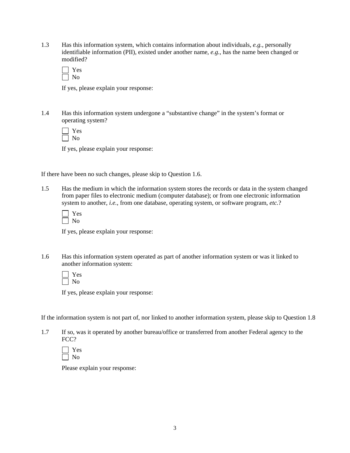1.3 Has this information system, which contains information about individuals, *e.g.*, personally identifiable information (PII), existed under another name, *e.g.*, has the name been changed or modified?

| − |
|---|
|   |

If yes, please explain your response:

1.4 Has this information system undergone a "substantive change" in the system's format or operating system?

If yes, please explain your response:

If there have been no such changes, please skip to Question 1.6.

1.5 Has the medium in which the information system stores the records or data in the system changed from paper files to electronic medium (computer database); or from one electronic information system to another, *i.e.*, from one database, operating system, or software program, *etc.*?

If yes, please explain your response:

1.6 Has this information system operated as part of another information system or was it linked to another information system:

 Yes  $\Box$  No

If yes, please explain your response:

If the information system is not part of, nor linked to another information system, please skip to Question 1.8

1.7 If so, was it operated by another bureau/office or transferred from another Federal agency to the FCC?

Please explain your response: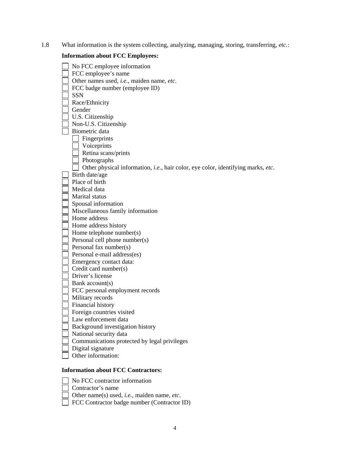1.8 What information is the system collecting, analyzing, managing, storing, transferring, *etc.*:

### **Information about FCC Employees:**

| No FCC employee information                                                      |
|----------------------------------------------------------------------------------|
| FCC employee's name                                                              |
| Other names used, i.e., maiden name, etc.                                        |
|                                                                                  |
| FCC badge number (employee ID)                                                   |
| <b>SSN</b>                                                                       |
| Race/Ethnicity                                                                   |
| Gender                                                                           |
| U.S. Citizenship                                                                 |
| Non-U.S. Citizenship                                                             |
| Biometric data                                                                   |
| Fingerprints                                                                     |
| Voiceprints                                                                      |
| Retina scans/prints                                                              |
| Photographs                                                                      |
| Other physical information, i.e., hair color, eye color, identifying marks, etc. |
| Birth date/age                                                                   |
| Place of birth                                                                   |
| Medical data                                                                     |
| Marital status                                                                   |
| Spousal information                                                              |
| Miscellaneous family information                                                 |
| Home address                                                                     |
| Home address history                                                             |
| Home telephone number(s)                                                         |
| Personal cell phone number(s)                                                    |
| Personal fax number(s)                                                           |
| Personal e-mail address(es)                                                      |
| Emergency contact data:                                                          |
| Credit card number(s)                                                            |
| Driver's license                                                                 |
| Bank account(s)                                                                  |
| FCC personal employment records                                                  |
| Military records                                                                 |
| Financial history                                                                |
| Foreign countries visited                                                        |
| Law enforcement data                                                             |
| Background investigation history                                                 |
| National security data                                                           |
| Communications protected by legal privileges                                     |
| Digital signature                                                                |
| Other information:                                                               |
|                                                                                  |
| Information about FCC Contractors                                                |

#### **Information about FCC Contractors:**

- No FCC contractor information
	- Contractor's name
	- Other name(s) used, *i.e.*, maiden name, *etc*.
	- FCC Contractor badge number (Contractor ID)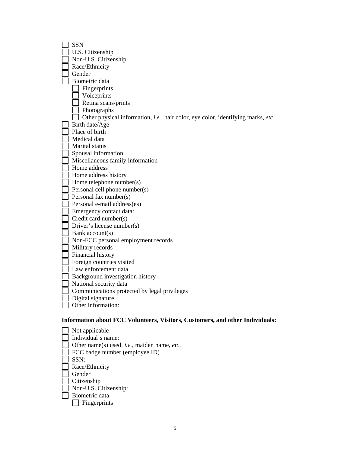| <b>SSN</b>                                                                           |
|--------------------------------------------------------------------------------------|
| U.S. Citizenship                                                                     |
| Non-U.S. Citizenship                                                                 |
| Race/Ethnicity                                                                       |
| Gender                                                                               |
| Biometric data                                                                       |
| Fingerprints                                                                         |
| Voiceprints                                                                          |
| Retina scans/prints                                                                  |
| Photographs                                                                          |
| Other physical information, i.e., hair color, eye color, identifying marks, etc.     |
| Birth date/Age                                                                       |
| Place of birth                                                                       |
| Medical data                                                                         |
| Marital status                                                                       |
| Spousal information                                                                  |
| Miscellaneous family information                                                     |
| Home address                                                                         |
| Home address history                                                                 |
| Home telephone number(s)                                                             |
| Personal cell phone number(s)                                                        |
| Personal fax number(s)                                                               |
| Personal e-mail address(es)                                                          |
| Emergency contact data:                                                              |
| Credit card number(s)                                                                |
| Driver's license number(s)                                                           |
| Bank account(s)                                                                      |
| Non-FCC personal employment records                                                  |
| Military records                                                                     |
| Financial history                                                                    |
| Foreign countries visited                                                            |
| Law enforcement data                                                                 |
| Background investigation history                                                     |
| National security data                                                               |
| Communications protected by legal privileges                                         |
| Digital signature                                                                    |
| Other information:                                                                   |
| <b>Information about FCC Volunteers, Visitors, Customers, and other Individuals:</b> |
| Not applicable                                                                       |
| Individual's name:                                                                   |
| Other name(s) used, <i>i.e.</i> , maiden name, <i>etc</i> .                          |
| FCC badge number (employee ID)                                                       |
| SSN:                                                                                 |
|                                                                                      |

- Race/Ethnicity
- Gender
- Citizenship
- Non-U.S. Citizenship:
	- Biometric data Fingerprints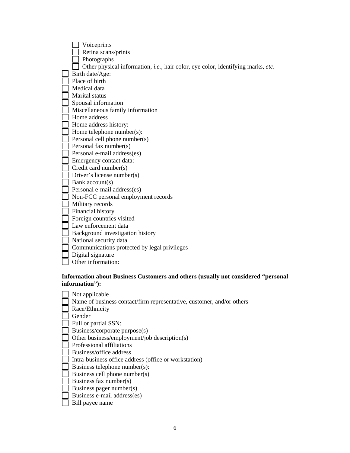| Voiceprints                                                                              |
|------------------------------------------------------------------------------------------|
| Retina scans/prints                                                                      |
| Photographs                                                                              |
| Other physical information, <i>i.e.</i> , hair color, eye color, identifying marks, etc. |
| Birth date/Age:                                                                          |
| Place of birth                                                                           |
| Medical data                                                                             |
| Marital status                                                                           |
| Spousal information                                                                      |
| Miscellaneous family information                                                         |
| Home address                                                                             |
| Home address history:                                                                    |
| Home telephone number(s):                                                                |
| Personal cell phone number(s)                                                            |
| Personal fax number(s)                                                                   |
| Personal e-mail address(es)                                                              |
| Emergency contact data:                                                                  |
| Credit card number(s)                                                                    |
| Driver's license number(s)                                                               |
| Bank account(s)                                                                          |
| Personal e-mail address(es)                                                              |
| Non-FCC personal employment records                                                      |
| Military records                                                                         |
| Financial history                                                                        |
| Foreign countries visited                                                                |
| Law enforcement data                                                                     |
| Background investigation history                                                         |
| National security data                                                                   |
| Communications protected by legal privileges                                             |
| Digital signature                                                                        |
| Other information:                                                                       |
|                                                                                          |

#### **Information about Business Customers and others (usually not considered "personal information"):**

| Not applicable                                                        |
|-----------------------------------------------------------------------|
| Name of business contact/firm representative, customer, and/or others |
| Race/Ethnicity                                                        |
| Gender                                                                |
| Full or partial SSN:                                                  |
| Business/corporate purpose(s)                                         |
| Other business/employment/job description(s)                          |
| Professional affiliations                                             |
| Business/office address                                               |
| Intra-business office address (office or workstation)                 |
| Business telephone number(s):                                         |
| Business cell phone number(s)                                         |
| Business fax number(s)                                                |
| Business pager number(s)                                              |
| Business e-mail address(es)                                           |
| Bill payee name                                                       |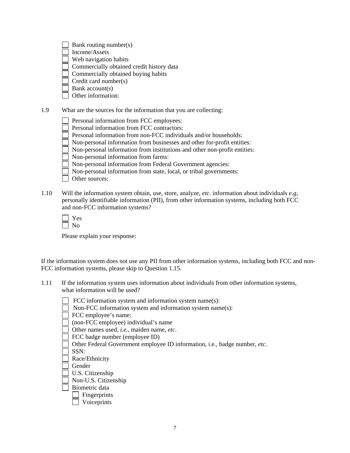| Bank routing number(s)                    |
|-------------------------------------------|
| Income/Assets                             |
| Web navigation habits                     |
| Commercially obtained credit history data |
| Commercially obtained buying habits       |
| Credit card number(s)                     |
| Bank $account(s)$                         |

Other information:

1.9 What are the sources for the information that you are collecting:

Personal information from FCC employees:

Personal information from FCC contractors:

Personal information from non-FCC individuals and/or households:

 $\overline{\hspace{0.1cm}}$  Non-personal information from businesses and other for-profit entities:

Non-personal information from institutions and other non-profit entities:

Non-personal information from farms:

Non-personal information from Federal Government agencies:

Non-personal information from state, local, or tribal governments:

- Other sources:
- 1.10 Will the information system obtain, use, store, analyze, *etc*. information about individuals *e.g*, personally identifiable information (PII), from other information systems, including both FCC and non-FCC information systems?

 Yes  $\Box$  No

Please explain your response:

If the information system does not use any PII from other information systems, including both FCC and non-FCC information systems, please skip to Question 1.15.

- 1.11 If the information system uses information about individuals from other information systems, what information will be used?
	- FCC information system and information system name(s):
	- Non-FCC information system and information system name(s):

FCC employee's name:

(non-FCC employee) individual's name

Other names used, *i.e.*, maiden name, *etc*.

FCC badge number (employee ID)

Other Federal Government employee ID information, i.e., badge number, *etc*.

SSN:

Race/Ethnicity

Gender

U.S. Citizenship

Non-U.S. Citizenship

Biometric data

Fingerprints

**Voiceprints**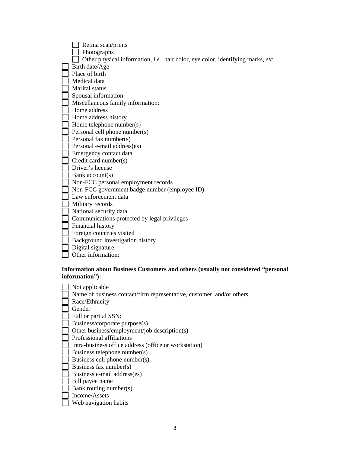| Retina scan/prints                                                               |
|----------------------------------------------------------------------------------|
| Photographs                                                                      |
| Other physical information, i.e., hair color, eye color, identifying marks, etc. |
| Birth date/Age                                                                   |
| Place of birth                                                                   |
| Medical data                                                                     |
| Marital status                                                                   |
| Spousal information                                                              |
| Miscellaneous family information:                                                |
| Home address                                                                     |
| Home address history                                                             |
| Home telephone number(s)                                                         |
| Personal cell phone number(s)                                                    |
| Personal fax number(s)                                                           |
| Personal e-mail address(es)                                                      |
| Emergency contact data                                                           |
| Credit card number(s)                                                            |
| Driver's license                                                                 |
| Bank account(s)                                                                  |
| Non-FCC personal employment records                                              |
| Non-FCC government badge number (employee ID)                                    |
| Law enforcement data                                                             |
| Military records                                                                 |
| National security data                                                           |
| Communications protected by legal privileges                                     |
| Financial history                                                                |
| Foreign countries visited                                                        |
| Background investigation history                                                 |
| Digital signature                                                                |
| Other information:                                                               |
|                                                                                  |

#### **Information about Business Customers and others (usually not considered "personal information"):**

| Not applicable                                                        |
|-----------------------------------------------------------------------|
| Name of business contact/firm representative, customer, and/or others |
| Race/Ethnicity                                                        |
| Gender                                                                |
| Full or partial SSN:                                                  |
| Business/corporate purpose(s)                                         |
| Other business/employment/job description(s)                          |
| Professional affiliations                                             |
| Intra-business office address (office or workstation)                 |
| Business telephone number(s)                                          |
| Business cell phone number(s)                                         |
| Business fax number(s)                                                |
| Business e-mail address(es)                                           |
| Bill payee name                                                       |
| Bank routing number(s)                                                |
| Income/Assets                                                         |
| Web navigation habits                                                 |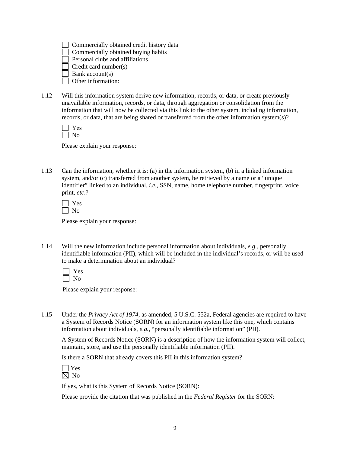|  | Commercially obtained credit history data |  |  |  |  |
|--|-------------------------------------------|--|--|--|--|
|--|-------------------------------------------|--|--|--|--|

Commercially obtained buying habits

Personal clubs and affiliations

Credit card number(s)

Bank account(s)

Other information:

1.12 Will this information system derive new information, records, or data, or create previously unavailable information, records, or data, through aggregation or consolidation from the information that will now be collected via this link to the other system, including information, records, or data, that are being shared or transferred from the other information system $(s)$ ?

Please explain your response:

1.13 Can the information, whether it is: (a) in the information system, (b) in a linked information system, and/or (c) transferred from another system, be retrieved by a name or a "unique identifier" linked to an individual, *i.e.*, SSN, name, home telephone number, fingerprint, voice print, *etc*.?

Please explain your response:

1.14 Will the new information include personal information about individuals, *e.g*., personally identifiable information (PII), which will be included in the individual's records, or will be used to make a determination about an individual?

Please explain your response:

1.15 Under the *Privacy Act of 1974*, as amended, 5 U.S.C. 552a, Federal agencies are required to have a System of Records Notice (SORN) for an information system like this one, which contains information about individuals, *e.g.*, "personally identifiable information" (PII).

A System of Records Notice (SORN) is a description of how the information system will collect, maintain, store, and use the personally identifiable information (PII).

Is there a SORN that already covers this PII in this information system?



If yes, what is this System of Records Notice (SORN):

Please provide the citation that was published in the *Federal Register* for the SORN: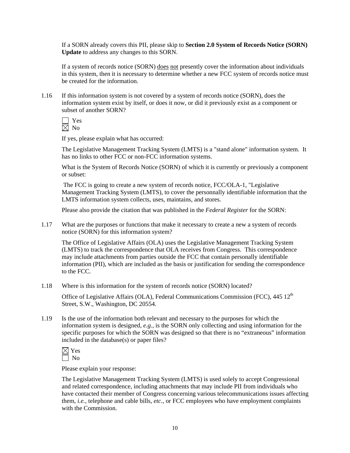If a SORN already covers this PII, please skip to **Section 2.0 System of Records Notice (SORN) Update** to address any changes to this SORN.

If a system of records notice (SORN) does not presently cover the information about individuals in this system, then it is necessary to determine whether a new FCC system of records notice must be created for the information.

1.16 If this information system is not covered by a system of records notice (SORN), does the information system exist by itself, or does it now, or did it previously exist as a component or subset of another SORN?

 Yes  $\boxtimes$  No

If yes, please explain what has occurred:

The Legislative Management Tracking System (LMTS) is a "stand alone" information system. It has no links to other FCC or non-FCC information systems.

What is the System of Records Notice (SORN) of which it is currently or previously a component or subset:

 The FCC is going to create a new system of records notice, FCC/OLA-1, "Legislative Management Tracking System (LMTS), to cover the personnally identifiable information that the LMTS information system collects, uses, maintains, and stores.

Please also provide the citation that was published in the *Federal Register* for the SORN:

1.17 What are the purposes or functions that make it necessary to create a new a system of records notice (SORN) for this information system?

The Office of Legislative Affairs (OLA) uses the Legislative Management Tracking System (LMTS) to track the correspondence that OLA receives from Congress. This correspondence may include attachments from parties outside the FCC that contain personally identifiable information (PII), which are included as the basis or justification for sending the correspondence to the FCC.

1.18 Where is this information for the system of records notice (SORN) located?

Office of Legislative Affairs (OLA), Federal Communications Commission (FCC),  $445 \times 12^{th}$ Street, S.W., Washington, DC 20554.

1.19 Is the use of the information both relevant and necessary to the purposes for which the information system is designed, *e.g.*, is the SORN only collecting and using information for the specific purposes for which the SORN was designed so that there is no "extraneous" information included in the database(s) or paper files?

| ī |
|---|
|   |

Please explain your response:

The Legislative Management Tracking System (LMTS) is used solely to accept Congressional and related correspondence, including attachments that may include PII from individuals who have contacted their member of Congress concerning various telecommunications issues affecting them, *i.e.*, telephone and cable bills, *etc*., or FCC employees who have employment complaints with the Commission.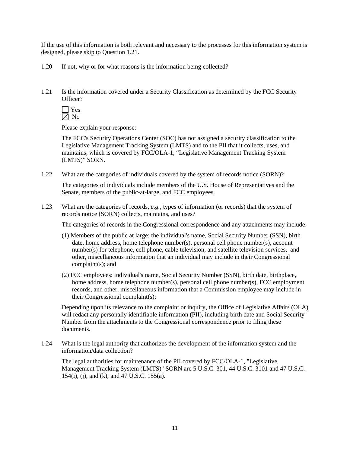If the use of this information is both relevant and necessary to the processes for this information system is designed, please skip to Question 1.21.

- 1.20 If not, why or for what reasons is the information being collected?
- 1.21 Is the information covered under a Security Classification as determined by the FCC Security Officer?

 Yes  $\boxtimes$  No

Please explain your response:

 The FCC's Security Operations Center (SOC) has not assigned a security classification to the Legislative Management Tracking System (LMTS) and to the PII that it collects, uses, and maintains, which is covered by FCC/OLA-1, "Legislative Management Tracking System (LMTS)" SORN.

1.22 What are the categories of individuals covered by the system of records notice (SORN)?

The categories of individuals include members of the U.S. House of Representatives and the Senate, members of the public-at-large, and FCC employees.

1.23 What are the categories of records, *e.g.*, types of information (or records) that the system of records notice (SORN) collects, maintains, and uses?

The categories of records in the Congressional correspondence and any attachments may include:

- (1) Members of the public at large: the individual's name, Social Security Number (SSN), birth date, home address, home telephone number(s), personal cell phone number(s), account number(s) for telephone, cell phone, cable television, and satellite television services, and other, miscellaneous information that an individual may include in their Congressional complaint(s); and
- (2) FCC employees: individual's name, Social Security Number (SSN), birth date, birthplace, home address, home telephone number(s), personal cell phone number(s), FCC employment records, and other, miscellaneous information that a Commission employee may include in their Congressional complaint(s);

Depending upon its relevance to the complaint or inquiry, the Office of Legislative Affairs (OLA) will redact any personally identifiable information (PII), including birth date and Social Security Number from the attachments to the Congressional correspondence prior to filing these documents.

1.24 What is the legal authority that authorizes the development of the information system and the information/data collection?

 The legal authorities for maintenance of the PII covered by FCC/OLA-1, "Legislative Management Tracking System (LMTS)" SORN are 5 U.S.C. 301, 44 U.S.C. 3101 and 47 U.S.C. 154(i), (j), and (k), and 47 U.S.C. 155(a).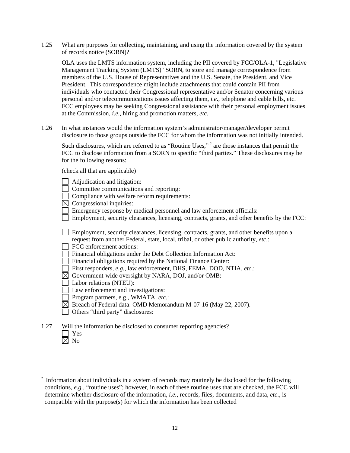1.25 What are purposes for collecting, maintaining, and using the information covered by the system of records notice (SORN)?

OLA uses the LMTS information system, including the PII covered by FCC/OLA-1, "Legislative Management Tracking System (LMTS)" SORN, to store and manage correspondence from members of the U.S. House of Representatives and the U.S. Senate, the President, and Vice President. This correspondence might include attachments that could contain PII from individuals who contacted their Congressional representative and/or Senator concerning various personal and/or telecommunications issues affecting them, *i.e*., telephone and cable bills, etc. FCC employees may be seeking Congressional assistance with their personal employment issues at the Commission, *i.e*., hiring and promotion matters, *etc*.

1.26 In what instances would the information system's administrator/manager/developer permit disclosure to those groups outside the FCC for whom the information was not initially intended.

Such disclosures, which are referred to as "Routine Uses,"<sup>2</sup> are those instances that permit the FCC to disclose information from a SORN to specific "third parties." These disclosures may be for the following reasons:

(check all that are applicable)

 $\overline{a}$ 

|      | Adjudication and litigation:                                                                                                                                                     |
|------|----------------------------------------------------------------------------------------------------------------------------------------------------------------------------------|
|      | Committee communications and reporting:                                                                                                                                          |
|      | Compliance with welfare reform requirements:                                                                                                                                     |
|      | Congressional inquiries:                                                                                                                                                         |
|      | Emergency response by medical personnel and law enforcement officials:                                                                                                           |
|      | Employment, security clearances, licensing, contracts, grants, and other benefits by the FCC:                                                                                    |
|      | Employment, security clearances, licensing, contracts, grants, and other benefits upon a<br>request from another Federal, state, local, tribal, or other public authority, etc.: |
|      | FCC enforcement actions:                                                                                                                                                         |
|      |                                                                                                                                                                                  |
|      | Financial obligations under the Debt Collection Information Act:                                                                                                                 |
|      | Financial obligations required by the National Finance Center:                                                                                                                   |
|      | First responders, e.g., law enforcement, DHS, FEMA, DOD, NTIA, etc.:                                                                                                             |
|      | Government-wide oversight by NARA, DOJ, and/or OMB:                                                                                                                              |
|      | Labor relations (NTEU):                                                                                                                                                          |
|      | Law enforcement and investigations:                                                                                                                                              |
|      | Program partners, e.g., WMATA, etc.:                                                                                                                                             |
|      | Breach of Federal data: OMD Memorandum M-07-16 (May 22, 2007).                                                                                                                   |
|      | Others "third party" disclosures:                                                                                                                                                |
| 1.27 | Will the information be disclosed to consumer reporting agencies?<br>Yes                                                                                                         |
|      | No                                                                                                                                                                               |

 $2$  Information about individuals in a system of records may routinely be disclosed for the following conditions, *e.g.,* "routine uses"; however, in each of these routine uses that are checked, the FCC will determine whether disclosure of the information, *i.e.*, records, files, documents, and data, *etc*., is compatible with the purpose(s) for which the information has been collected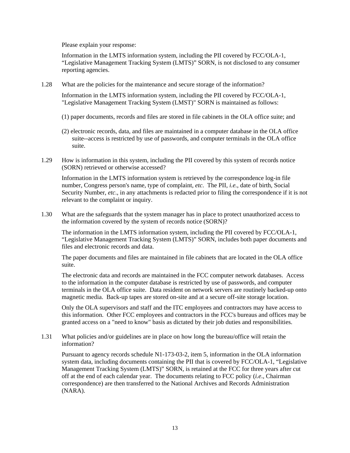Information in the LMTS information system, including the PII covered by FCC/OLA-1, "Legislative Management Tracking System (LMTS)" SORN, is not disclosed to any consumer reporting agencies.

1.28 What are the policies for the maintenance and secure storage of the information?

Information in the LMTS information system, including the PII covered by FCC/OLA-1, "Legislative Management Tracking System (LMST)" SORN is maintained as follows:

- (1) paper documents, records and files are stored in file cabinets in the OLA office suite; and
- (2) electronic records, data, and files are maintained in a computer database in the OLA office suite--access is restricted by use of passwords, and computer terminals in the OLA office suite.
- 1.29 How is information in this system, including the PII covered by this system of records notice (SORN) retrieved or otherwise accessed?

Information in the LMTS information system is retrieved by the correspondence log-in file number, Congress person's name, type of complaint, *etc*. The PII, *i.e.*, date of birth, Social Security Number, *etc*., in any attachments is redacted prior to filing the correspondence if it is not relevant to the complaint or inquiry.

1.30 What are the safeguards that the system manager has in place to protect unauthorized access to the information covered by the system of records notice (SORN)?

The information in the LMTS information system, including the PII covered by FCC/OLA-1, "Legislative Management Tracking System (LMTS)" SORN, includes both paper documents and files and electronic records and data.

The paper documents and files are maintained in file cabinets that are located in the OLA office suite.

The electronic data and records are maintained in the FCC computer network databases. Access to the information in the computer database is restricted by use of passwords, and computer terminals in the OLA office suite. Data resident on network servers are routinely backed-up onto magnetic media. Back-up tapes are stored on-site and at a secure off-site storage location.

Only the OLA supervisors and staff and the ITC employees and contractors may have access to this information. Other FCC employees and contractors in the FCC's bureaus and offices may be granted access on a "need to know" basis as dictated by their job duties and responsibilities.

1.31 What policies and/or guidelines are in place on how long the bureau/office will retain the information?

Pursuant to agency records schedule N1-173-03-2, item 5, information in the OLA information system data, including documents containing the PII that is covered by FCC/OLA-1, "Legislative Management Tracking System (LMTS)" SORN, is retained at the FCC for three years after cut off at the end of each calendar year. The documents relating to FCC policy (*i.e*., Chairman correspondence) are then transferred to the National Archives and Records Administration (NARA).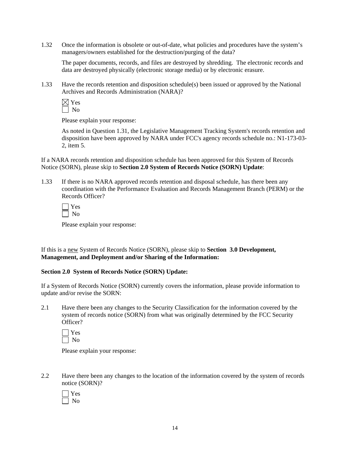1.32 Once the information is obsolete or out-of-date, what policies and procedures have the system's managers/owners established for the destruction/purging of the data?

The paper documents, records, and files are destroyed by shredding. The electronic records and data are destroyed physically (electronic storage media) or by electronic erasure.

1.33 Have the records retention and disposition schedule(s) been issued or approved by the National Archives and Records Administration (NARA)?

Please explain your response:

As noted in Question 1.31, the Legislative Management Tracking System's records retention and disposition have been approved by NARA under FCC's agency records schedule no.: N1-173-03- 2, item 5.

If a NARA records retention and disposition schedule has been approved for this System of Records Notice (SORN), please skip to **Section 2.0 System of Records Notice (SORN) Update**:

1.33 If there is no NARA approved records retention and disposal schedule, has there been any coordination with the Performance Evaluation and Records Management Branch (PERM) or the Records Officer?

Please explain your response:

If this is a new System of Records Notice (SORN), please skip to **Section 3.0 Development, Management, and Deployment and/or Sharing of the Information:** 

#### **Section 2.0 System of Records Notice (SORN) Update:**

If a System of Records Notice (SORN) currently covers the information, please provide information to update and/or revise the SORN:

2.1 Have there been any changes to the Security Classification for the information covered by the system of records notice (SORN) from what was originally determined by the FCC Security Officer?

Please explain your response:

2.2 Have there been any changes to the location of the information covered by the system of records notice (SORN)?

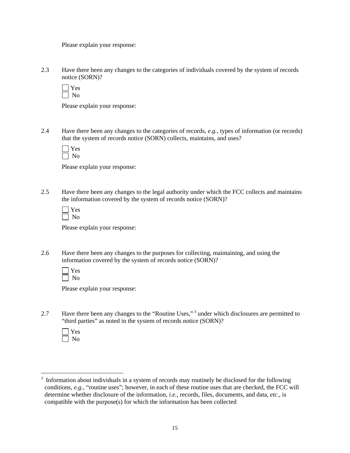2.3 Have there been any changes to the categories of individuals covered by the system of records notice (SORN)?

 $\Box$  Yes No

Please explain your response:

2.4 Have there been any changes to the categories of records, *e.g.*, types of information (or records) that the system of records notice (SORN) collects, maintains, and uses?

Please explain your response:

2.5 Have there been any changes to the legal authority under which the FCC collects and maintains the information covered by the system of records notice (SORN)?

Please explain your response:

2.6 Have there been any changes to the purposes for collecting, maintaining, and using the information covered by the system of records notice (SORN)?

Please explain your response:

2.7 Have there been any changes to the "Routine Uses,"<sup>3</sup> under which disclosures are permitted to "third parties" as noted in the system of records notice (SORN)?

 $\overline{a}$ 

 $3$  Information about individuals in a system of records may routinely be disclosed for the following conditions, *e.g.,* "routine uses"; however, in each of these routine uses that are checked, the FCC will determine whether disclosure of the information, *i.e.*, records, files, documents, and data, *etc*., is compatible with the purpose(s) for which the information has been collected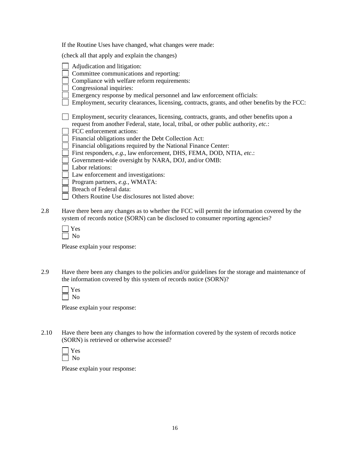| If the Routine Uses have changed, what changes were made: |  |  |
|-----------------------------------------------------------|--|--|
|                                                           |  |  |

(check all that apply and explain the changes)

| Adjudication and litigation:                                                                  |
|-----------------------------------------------------------------------------------------------|
| Committee communications and reporting:                                                       |
| Compliance with welfare reform requirements:                                                  |
| Congressional inquiries:                                                                      |
| Emergency response by medical personnel and law enforcement officials:                        |
| Employment, security clearances, licensing, contracts, grants, and other benefits by the FCC: |
|                                                                                               |
| Employment, security clearances, licensing, contracts, grants, and other benefits upon a      |
| request from another Federal, state, local, tribal, or other public authority, etc.:          |
| FCC enforcement actions:                                                                      |
| Financial obligations under the Debt Collection Act:                                          |
| Financial obligations required by the National Finance Center:                                |
| First responders, e.g., law enforcement, DHS, FEMA, DOD, NTIA, etc.:                          |
| Government-wide oversight by NARA, DOJ, and/or OMB:                                           |
| Labor relations:                                                                              |
| Law enforcement and investigations:                                                           |
| Program partners, e.g., WMATA:                                                                |
| Breach of Federal data:                                                                       |
| Others Routine Use disclosures not listed above:                                              |

2.8 Have there been any changes as to whether the FCC will permit the information covered by the system of records notice (SORN) can be disclosed to consumer reporting agencies?

Please explain your response:

2.9 Have there been any changes to the policies and/or guidelines for the storage and maintenance of the information covered by this system of records notice (SORN)?

Please explain your response:

2.10 Have there been any changes to how the information covered by the system of records notice (SORN) is retrieved or otherwise accessed?

Please explain your response: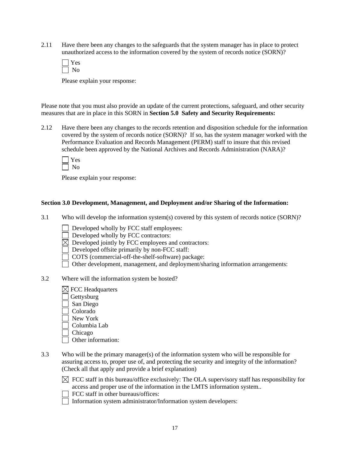2.11 Have there been any changes to the safeguards that the system manager has in place to protect unauthorized access to the information covered by the system of records notice (SORN)?

Please explain your response:

Please note that you must also provide an update of the current protections, safeguard, and other security measures that are in place in this SORN in **Section 5.0 Safety and Security Requirements:** 

2.12 Have there been any changes to the records retention and disposition schedule for the information covered by the system of records notice (SORN)? If so, has the system manager worked with the Performance Evaluation and Records Management (PERM) staff to insure that this revised schedule been approved by the National Archives and Records Administration (NARA)?

Please explain your response:

#### **Section 3.0 Development, Management, and Deployment and/or Sharing of the Information:**

- 3.1 Who will develop the information system(s) covered by this system of records notice (SORN)?
	- Developed wholly by FCC staff employees:
	- Developed wholly by FCC contractors:
	- $\boxtimes$  Developed jointly by FCC employees and contractors:
	- Developed offsite primarily by non-FCC staff:
	- COTS (commercial-off-the-shelf-software) package:
	- Other development, management, and deployment/sharing information arrangements:
- 3.2 Where will the information system be hosted?
	- $\boxtimes$  FCC Headquarters Gettysburg San Diego Colorado New York Columbia Lab Chicago
		- Other information:
- 3.3 Who will be the primary manager(s) of the information system who will be responsible for assuring access to, proper use of, and protecting the security and integrity of the information? (Check all that apply and provide a brief explanation)



- FCC staff in other bureaus/offices:
- Information system administrator/Information system developers: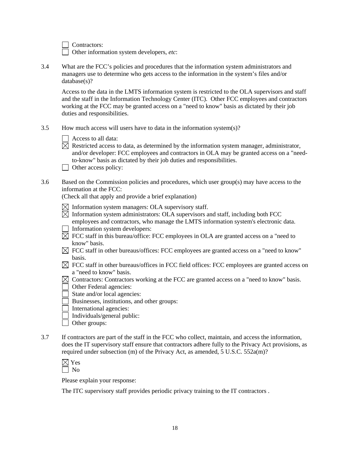Contractors:

Other information system developers, *etc*:

3.4 What are the FCC's policies and procedures that the information system administrators and managers use to determine who gets access to the information in the system's files and/or database(s)?

Access to the data in the LMTS information system is restricted to the OLA supervisors and staff and the staff in the Information Technology Center (ITC). Other FCC employees and contractors working at the FCC may be granted access on a "need to know" basis as dictated by their job duties and responsibilities.

3.5 How much access will users have to data in the information system(s)?

| Access to all data: |
|---------------------|
|---------------------|

- $\boxtimes$  Restricted access to data, as determined by the information system manager, administrator, and/or developer: FCC employees and contractors in OLA may be granted access on a "needto-know" basis as dictated by their job duties and responsibilities.
- $\Box$  Other access policy:
- 3.6 Based on the Commission policies and procedures, which user group(s) may have access to the information at the FCC:

(Check all that apply and provide a brief explanation)

- $\boxtimes$  Information system managers: OLA supervisory staff.
- $\boxtimes$  Information system administrators: OLA supervisors and staff, including both FCC employees and contractors, who manage the LMTS information system's electronic data.
- Information system developers:
- $\boxtimes$  FCC staff in this bureau/office: FCC employees in OLA are granted access on a "need to know" basis.
- $\boxtimes$  FCC staff in other bureaus/offices: FCC employees are granted access on a "need to know" basis.
- $\boxtimes$  FCC staff in other bureaus/offices in FCC field offices: FCC employees are granted access on a "need to know" basis.
- $\boxtimes$  Contractors: Contractors working at the FCC are granted access on a "need to know" basis.
- Other Federal agencies:
- State and/or local agencies:
- Businesses, institutions, and other groups:
- $\Box$  International agencies:
- Individuals/general public:
- □ Other groups:
- 3.7 If contractors are part of the staff in the FCC who collect, maintain, and access the information, does the IT supervisory staff ensure that contractors adhere fully to the Privacy Act provisions, as required under subsection (m) of the Privacy Act, as amended, 5 U.S.C. 552a(m)?

Please explain your response:

The ITC supervisory staff provides periodic privacy training to the IT contractors .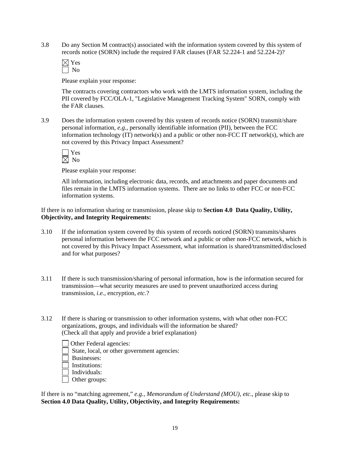3.8 Do any Section M contract(s) associated with the information system covered by this system of records notice (SORN) include the required FAR clauses (FAR 52.224-1 and 52.224-2)?

Please explain your response:

The contracts covering contractors who work with the LMTS information system, including the PII covered by FCC/OLA-1, "Legislative Management Tracking System" SORN, comply with the FAR clauses.

3.9 Does the information system covered by this system of records notice (SORN) transmit/share personal information, *e.g.*, personally identifiable information (PII), between the FCC information technology (IT) network(s) and a public or other non-FCC IT network(s), which are not covered by this Privacy Impact Assessment?

Please explain your response:

All information, including electronic data, records, and attachments and paper documents and files remain in the LMTS information systems. There are no links to other FCC or non-FCC information systems.

If there is no information sharing or transmission, please skip to **Section 4.0 Data Quality, Utility, Objectivity, and Integrity Requirements:**

- 3.10 If the information system covered by this system of records noticed (SORN) transmits/shares personal information between the FCC network and a public or other non-FCC network, which is not covered by this Privacy Impact Assessment, what information is shared/transmitted/disclosed and for what purposes?
- 3.11 If there is such transmission/sharing of personal information, how is the information secured for transmission—what security measures are used to prevent unauthorized access during transmission, *i.e.*, encryption, *etc.*?
- 3.12 If there is sharing or transmission to other information systems, with what other non-FCC organizations, groups, and individuals will the information be shared? (Check all that apply and provide a brief explanation)
	- Other Federal agencies: State, local, or other government agencies: Businesses: Institutions:
	- Individuals:
	- Other groups:

If there is no "matching agreement," *e.g., Memorandum of Understand (MOU), etc*., please skip to **Section 4.0 Data Quality, Utility, Objectivity, and Integrity Requirements:**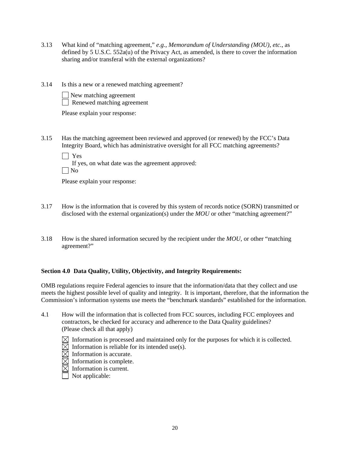- 3.13 What kind of "matching agreement," *e.g.*, *Memorandum of Understanding (MOU)*, *etc.*, as defined by 5 U.S.C. 552a(u) of the Privacy Act, as amended, is there to cover the information sharing and/or transferal with the external organizations?
- 3.14 Is this a new or a renewed matching agreement?
	- New matching agreement Renewed matching agreement

- 3.15 Has the matching agreement been reviewed and approved (or renewed) by the FCC's Data Integrity Board, which has administrative oversight for all FCC matching agreements?
	- Yes
		- If yes, on what date was the agreement approved:

 $\vert$   $\vert$  No

Please explain your response:

- 3.17 How is the information that is covered by this system of records notice (SORN) transmitted or disclosed with the external organization(s) under the *MOU* or other "matching agreement?"
- 3.18 How is the shared information secured by the recipient under the *MOU*, or other "matching agreement?"

### **Section 4.0 Data Quality, Utility, Objectivity, and Integrity Requirements:**

OMB regulations require Federal agencies to insure that the information/data that they collect and use meets the highest possible level of quality and integrity. It is important, therefore, that the information the Commission's information systems use meets the "benchmark standards" established for the information.

- 4.1 How will the information that is collected from FCC sources, including FCC employees and contractors, be checked for accuracy and adherence to the Data Quality guidelines? (Please check all that apply)
	- $\boxtimes$  Information is processed and maintained only for the purposes for which it is collected.
	- $\boxtimes$  Information is reliable for its intended use(s).
	- $\boxtimes$  Information is accurate.
	- $\boxtimes$  Information is complete.
	- $\overline{\boxtimes}$  Information is current.
	- $\overline{\Box}$  Not applicable: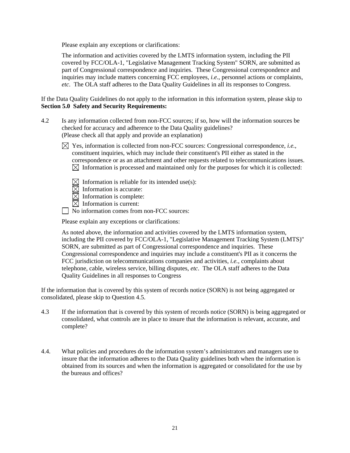Please explain any exceptions or clarifications:

The information and activities covered by the LMTS information system, including the PII covered by FCC/OLA-1, "Legislative Management Tracking System" SORN, are submitted as part of Congressional correspondence and inquiries. These Congressional correspondence and inquiries may include matters concerning FCC employees, *i.e*., personnel actions or complaints, *etc*. The OLA staff adheres to the Data Quality Guidelines in all its responses to Congress.

If the Data Quality Guidelines do not apply to the information in this information system, please skip to **Section 5.0 Safety and Security Requirements:** 

- 4.2 Is any information collected from non-FCC sources; if so, how will the information sources be checked for accuracy and adherence to the Data Quality guidelines? (Please check all that apply and provide an explanation)
	- $\boxtimes$  Yes, information is collected from non-FCC sources: Congressional correspondence, *i.e.*, constituent inquiries, which may include their constituent's PII either as stated in the correspondence or as an attachment and other requests related to telecommunications issues.  $\boxtimes$  Information is processed and maintained only for the purposes for which it is collected:
		- $\boxtimes$  Information is reliable for its intended use(s):
		- $\overline{\boxtimes}$  Information is accurate:
		- $\boxtimes$  Information is complete:
		- $\boxtimes$  Information is current:
	- No information comes from non-FCC sources:

Please explain any exceptions or clarifications:

As noted above, the information and activities covered by the LMTS information system, including the PII covered by FCC/OLA-1, "Legislative Management Tracking System (LMTS)" SORN, are submitted as part of Congressional correspondence and inquiries. These Congressional correspondence and inquiries may include a constituent's PII as it concerns the FCC jurisdiction on telecommunications companies and activities, *i.e.*, complaints about telephone, cable, wireless service, billing disputes, *etc*. The OLA staff adheres to the Data Quality Guidelines in all responses to Congress

If the information that is covered by this system of records notice (SORN) is not being aggregated or consolidated, please skip to Question 4.5.

- 4.3 If the information that is covered by this system of records notice (SORN) is being aggregated or consolidated, what controls are in place to insure that the information is relevant, accurate, and complete?
- 4.4. What policies and procedures do the information system's administrators and managers use to insure that the information adheres to the Data Quality guidelines both when the information is obtained from its sources and when the information is aggregated or consolidated for the use by the bureaus and offices?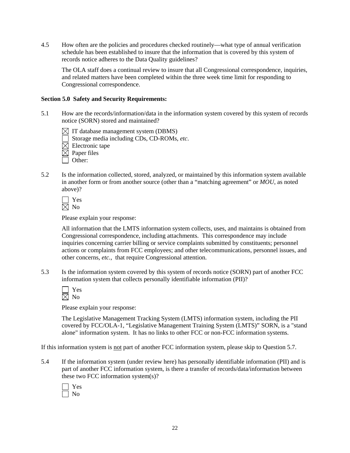4.5 How often are the policies and procedures checked routinely—what type of annual verification schedule has been established to insure that the information that is covered by this system of records notice adheres to the Data Quality guidelines?

 The OLA staff does a continual review to insure that all Congressional correspondence, inquiries, and related matters have been completed within the three week time limit for responding to Congressional correspondence.

#### **Section 5.0 Safety and Security Requirements:**

- 5.1 How are the records/information/data in the information system covered by this system of records notice (SORN) stored and maintained?
	- $\boxtimes$  IT database management system (DBMS)
	- Storage media including CDs, CD-ROMs, *etc*.
	- $\boxtimes$  Electronic tape
	- $\boxtimes$  Paper files
	- Other:
- 5.2 Is the information collected, stored, analyzed, or maintained by this information system available in another form or from another source (other than a "matching agreement" or *MOU*, as noted above)?

Please explain your response:

All information that the LMTS information system collects, uses, and maintains is obtained from Congressional correspondence, including attachments. This correspondence may include inquiries concerning carrier billing or service complaints submitted by constituents; personnel actions or complaints from FCC employees; and other telecommunications, personnel issues, and other concerns, *etc.*, that require Congressional attention.

5.3 Is the information system covered by this system of records notice (SORN) part of another FCC information system that collects personally identifiable information (PII)?

Please explain your response:

The Legislative Management Tracking System (LMTS) information system, including the PII covered by FCC/OLA-1, "Legislative Management Training System (LMTS)" SORN, is a "stand alone" information system. It has no links to other FCC or non-FCC information systems.

If this information system is not part of another FCC information system, please skip to Question 5.7.

5.4 If the information system (under review here) has personally identifiable information (PII) and is part of another FCC information system, is there a transfer of records/data/information between these two FCC information system(s)?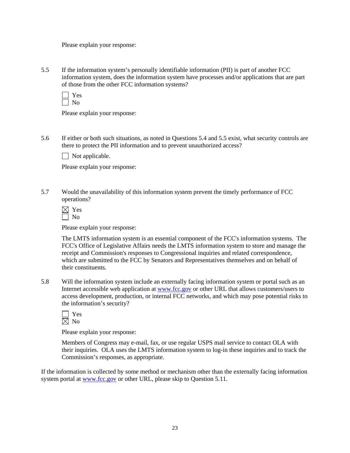5.5 If the information system's personally identifiable information (PII) is part of another FCC information system, does the information system have processes and/or applications that are part of those from the other FCC information systems?

 Yes  $\Box$  No

Please explain your response:

5.6 If either or both such situations, as noted in Questions 5.4 and 5.5 exist, what security controls are there to protect the PII information and to prevent unauthorized access?

 $\Box$  Not applicable.

Please explain your response:

5.7 Would the unavailability of this information system prevent the timely performance of FCC operations?

Please explain your response:

The LMTS information system is an essential component of the FCC's information systems. The FCC's Office of Legislative Affairs needs the LMTS information system to store and manage the receipt and Commission's responses to Congressional inquiries and related correspondence, which are submitted to the FCC by Senators and Representatives themselves and on behalf of their constituents.

5.8 Will the information system include an externally facing information system or portal such as an Internet accessible web application at www.fcc.gov or other URL that allows customers/users to access development, production, or internal FCC networks, and which may pose potential risks to the information's security?

Please explain your response:

Members of Congress may e-mail, fax, or use regular USPS mail service to contact OLA with their inquiries. OLA uses the LMTS information system to log-in these inquiries and to track the Commission's responses, as appropriate.

If the information is collected by some method or mechanism other than the externally facing information system portal at www.fcc.gov or other URL, please skip to Question 5.11.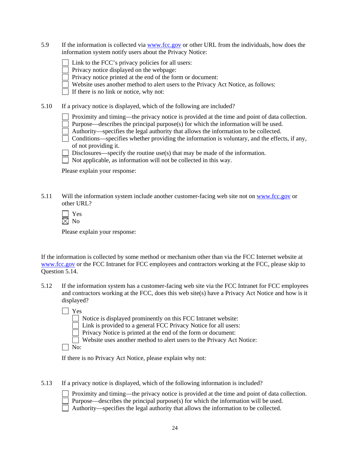5.9 If the information is collected via www.fcc.gov or other URL from the individuals, how does the information system notify users about the Privacy Notice:

| $\Box$ Link to the FCC's privacy policies for all users: |
|----------------------------------------------------------|
|----------------------------------------------------------|

Privacy notice displayed on the webpage:

Privacy notice printed at the end of the form or document:

Website uses another method to alert users to the Privacy Act Notice, as follows:

 $\Box$  If there is no link or notice, why not:

5.10 If a privacy notice is displayed, which of the following are included?

Proximity and timing—the privacy notice is provided at the time and point of data collection.

Purpose—describes the principal purpose(s) for which the information will be used.

- Authority—specifies the legal authority that allows the information to be collected.
- $\Box$  Conditions—specifies whether providing the information is voluntary, and the effects, if any, of not providing it.

Disclosures—specify the routine use(s) that may be made of the information.

 $\Box$  Not applicable, as information will not be collected in this way.

Please explain your response:

5.11 Will the information system include another customer-facing web site not on www.fcc.gov or other URL?

 Yes No

Please explain your response:

If the information is collected by some method or mechanism other than via the FCC Internet website at www.fcc.gov or the FCC Intranet for FCC employees and contractors working at the FCC, please skip to Question 5.14.

5.12 If the information system has a customer-facing web site via the FCC Intranet for FCC employees and contractors working at the FCC, does this web site(s) have a Privacy Act Notice and how is it displayed?

Yes

 $\Box$  Notice is displayed prominently on this FCC Intranet website:

Link is provided to a general FCC Privacy Notice for all users:

**Privacy Notice is printed at the end of the form or document:** 

Website uses another method to alert users to the Privacy Act Notice:

 $\Box$  No:

If there is no Privacy Act Notice, please explain why not:

5.13 If a privacy notice is displayed, which of the following information is included?

 Proximity and timing—the privacy notice is provided at the time and point of data collection. Purpose—describes the principal purpose(s) for which the information will be used.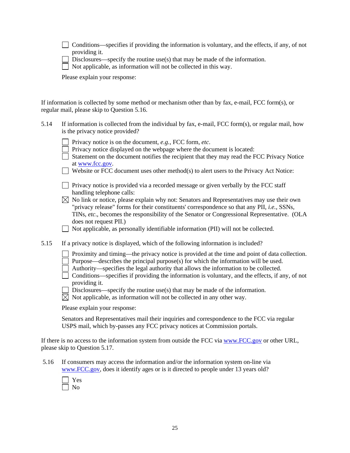Conditions—specifies if providing the information is voluntary, and the effects, if any, of not providing it.

Disclosures—specify the routine use(s) that may be made of the information.

 $\Box$  Not applicable, as information will not be collected in this way.

Please explain your response:

If information is collected by some method or mechanism other than by fax, e-mail, FCC form(s), or regular mail, please skip to Question 5.16.

- 5.14 If information is collected from the individual by fax, e-mail, FCC form(s), or regular mail, how is the privacy notice provided?
	- Privacy notice is on the document, *e.g.*, FCC form, *etc*.
	- $\Box$  Privacy notice displayed on the webpage where the document is located:
	- Statement on the document notifies the recipient that they may read the FCC Privacy Notice at www.fcc.gov.
	- Website or FCC document uses other method(s) to alert users to the Privacy Act Notice:
	- $\Box$  Privacy notice is provided via a recorded message or given verbally by the FCC staff handling telephone calls:
	- $\boxtimes$  No link or notice, please explain why not: Senators and Representatives may use their own "privacy release" forms for their constituents' correspondence so that any PII, *i.e.*, SSNs, TINs, *etc*., becomes the responsibility of the Senator or Congressional Representative. (OLA does not request PII.)

Not applicable, as personally identifiable information (PII) will not be collected.

- 5.15 If a privacy notice is displayed, which of the following information is included?
	- Proximity and timing—the privacy notice is provided at the time and point of data collection. Purpose—describes the principal purpose(s) for which the information will be used.
	- $\Box$  Authority—specifies the legal authority that allows the information to be collected.
	- $\Box$  Conditions—specifies if providing the information is voluntary, and the effects, if any, of not providing it.
	- Disclosures—specify the routine use(s) that may be made of the information.
	- $\boxtimes$  Not applicable, as information will not be collected in any other way.

Please explain your response:

Senators and Representatives mail their inquiries and correspondence to the FCC via regular USPS mail, which by-passes any FCC privacy notices at Commission portals.

If there is no access to the information system from outside the FCC via www.FCC.gov or other URL, please skip to Question 5.17.

 5.16 If consumers may access the information and/or the information system on-line via www.FCC.gov, does it identify ages or is it directed to people under 13 years old?

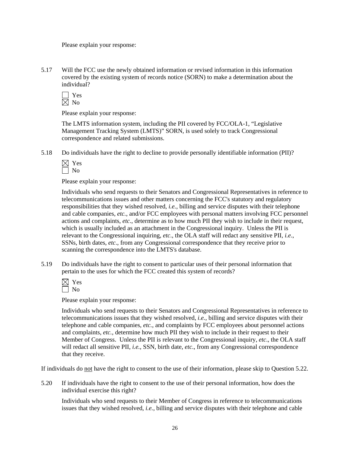5.17 Will the FCC use the newly obtained information or revised information in this information covered by the existing system of records notice (SORN) to make a determination about the individual?

Please explain your response:

The LMTS information system, including the PII covered by FCC/OLA-1, "Legislative Management Tracking System (LMTS)" SORN, is used solely to track Congressional correspondence and related submissions.

5.18 Do individuals have the right to decline to provide personally identifiable information (PII)?

Please explain your response:

Individuals who send requests to their Senators and Congressional Representatives in reference to telecommunications issues and other matters concerning the FCC's statutory and regulatory responsibilities that they wished resolved, *i.e.*, billing and service disputes with their telephone and cable companies, *etc.*, and/or FCC employees with personal matters involving FCC personnel actions and complaints, *etc*., determine as to how much PII they wish to include in their request, which is usually included as an attachment in the Congressional inquiry. Unless the PII is relevant to the Congressional inquiring, *etc*., the OLA staff will redact any sensitive PII, *i.e*., SSNs, birth dates, *etc*., from any Congressional correspondence that they receive prior to scanning the correspondence into the LMTS's database.

5.19 Do individuals have the right to consent to particular uses of their personal information that pertain to the uses for which the FCC created this system of records?

Please explain your response:

Individuals who send requests to their Senators and Congressional Representatives in reference to telecommunications issues that they wished resolved, *i.e.*, billing and service disputes with their telephone and cable companies, *etc.*, and complaints by FCC employees about personnel actions and complaints, *etc.*, determine how much PII they wish to include in their request to their Member of Congress. Unless the PII is relevant to the Congressional inquiry, *etc*., the OLA staff will redact all sensitive PII, *i.e.*, SSN, birth date, *etc*., from any Congressional correspondence that they receive.

If individuals do not have the right to consent to the use of their information, please skip to Question 5.22.

5.20 If individuals have the right to consent to the use of their personal information, how does the individual exercise this right?

Individuals who send requests to their Member of Congress in reference to telecommunications issues that they wished resolved, *i.e.*, billing and service disputes with their telephone and cable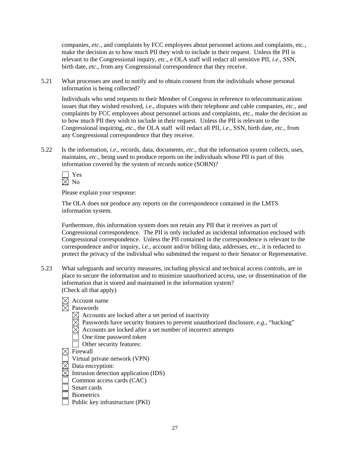companies, *etc*., and complaints by FCC employees about personnel actions and complaints, etc., make the decision as to how much PII they wish to include in their request. Unless the PII is relevant to the Congressional inquiry, *etc*., e OLA staff will redact all sensitive PII, *i.e*., SSN, birth date, *etc*., from any Congressional correspondence that they receive.

5.21 What processes are used to notify and to obtain consent from the individuals whose personal information is being collected?

Individuals who send requests to their Member of Congress in reference to telecommunications issues that they wished resolved, *i.e.*, disputes with their telephone and cable companies, *etc*., and complaints by FCC employees about personnel actions and complaints, etc., make the decision as to how much PII they wish to include in their request. Unless the PII is relevant to the Congressional inquiring, *etc*., the OLA staff will redact all PII, *i.e*., SSN, birth date, *etc.*, from any Congressional correspondence that they receive.

5.22 Is the information, *i.e*., records, data, documents, *etc*., that the information system collects, uses, maintains, *etc*., being used to produce reports on the individuals whose PII is part of this information covered by the system of records notice (SORN)?

Please explain your response:

 The OLA does not produce any reports on the correspondence contained in the LMTS information system.

Furthermore, this information system does not retain any PII that it receives as part of Congressional correspondence. The PII is only included as incidental information enclosed with Congressional correspondence. Unless the PII contained in the correspondence is relevant to the correspondence and/or inquiry, *i.e.*, account and/or billing data, addresses, *etc.*, it is redacted to protect the privacy of the individual who submitted the request to their Senator or Representative.

- 5.23 What safeguards and security measures, including physical and technical access controls, are in place to secure the information and to minimize unauthorized access, use, or dissemination of the information that is stored and maintained in the information system? (Check all that apply)
	- $\boxtimes$  Account name  $\overline{\boxtimes}$  Passwords  $\boxtimes$  Accounts are locked after a set period of inactivity  $\boxtimes$  Passwords have security features to prevent unauthorized disclosure, *e.g.*, "hacking"  $\boxtimes$  Accounts are locked after a set number of incorrect attempts One time password token Other security features:  $\boxtimes$  Firewall Virtual private network (VPN)
	- $\overline{\boxtimes}$  Data encryption:
	- $\boxtimes$  Intrusion detection application (IDS)
	- Common access cards (CAC)
	- Smart cards
	- **Biometrics**
	- Public key infrastructure  $(PKI)$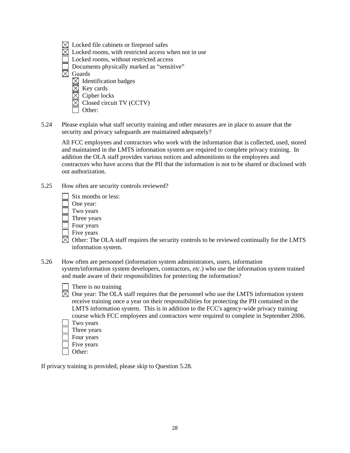- $\boxtimes$  Locked file cabinets or fireproof safes
- $\boxtimes$  Locked rooms, with restricted access when not in use
- Locked rooms, without restricted access
- Documents physically marked as "sensitive"

 $\overline{\boxtimes}$  Guards

- $\boxtimes$  Identification badges
- $\boxtimes$  Key cards
- Cipher locks
- Closed circuit TV (CCTV)
- Other:
- 5.24 Please explain what staff security training and other measures are in place to assure that the security and privacy safeguards are maintained adequately?

 All FCC employees and contractors who work with the information that is collected, used, stored and maintained in the LMTS information system are required to complete privacy training. In addition the OLA staff provides various notices and admonitions to the employees and contractors who have access that the PII that the information is not to be shared or disclosed with out authorization.

- 5.25 How often are security controls reviewed?
	- Six months or less:
	- One year:
	- Two years
	- Three years
	- Four years
	- $\bar{\mathsf{T}}$  Five years
	- $\boxtimes$  Other: The OLA staff requires the security controls to be reviewed continually for the LMTS information system.
- 5.26 How often are personnel (information system administrators, users, information system/information system developers, contractors, *etc*.) who use the information system trained and made aware of their responsibilities for protecting the information?
	- $\Box$  There is no training
	- $\boxtimes$  One year: The OLA staff requires that the personnel who use the LMTS information system receive training once a year on their responsibilities for protecting the PII contained in the LMTS information system. This is in addition to the FCC's agency-wide privacy training course which FCC employees and contractors were required to complete in September 2006.
		- Two years
		- Three years
		- Four years
		- Five years
		- Other:

If privacy training is provided, please skip to Question 5.28.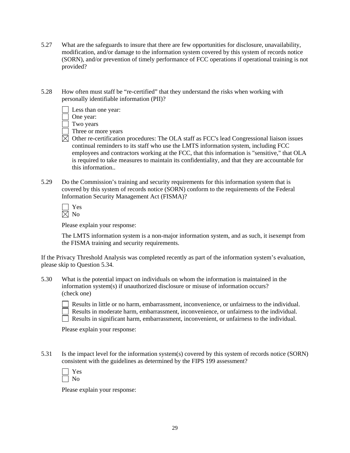- 5.27 What are the safeguards to insure that there are few opportunities for disclosure, unavailability, modification, and/or damage to the information system covered by this system of records notice (SORN), and/or prevention of timely performance of FCC operations if operational training is not provided?
- 5.28 How often must staff be "re-certified" that they understand the risks when working with personally identifiable information (PII)?
	- Less than one year:
	- One year:
	- Two years
	- Three or more years
	- $\boxtimes$  Other re-certification procedures: The OLA staff as FCC's lead Congressional liaison issues continual reminders to its staff who use the LMTS information system, including FCC employees and contractors working at the FCC, that this information is "sensitive," that OLA is required to take measures to maintain its confidentiality, and that they are accountable for this information..
- 5.29 Do the Commission's training and security requirements for this information system that is covered by this system of records notice (SORN) conform to the requirements of the Federal Information Security Management Act (FISMA)?

The LMTS information system is a non-major information system, and as such, it isexempt from the FISMA training and security requirements.

If the Privacy Threshold Analysis was completed recently as part of the information system's evaluation, please skip to Question 5.34.

5.30 What is the potential impact on individuals on whom the information is maintained in the information system(s) if unauthorized disclosure or misuse of information occurs? (check one)

 Results in little or no harm, embarrassment, inconvenience, or unfairness to the individual. Results in moderate harm, embarrassment, inconvenience, or unfairness to the individual. Results in significant harm, embarrassment, inconvenient, or unfairness to the individual.

Please explain your response:

5.31 Is the impact level for the information system(s) covered by this system of records notice (SORN) consistent with the guidelines as determined by the FIPS 199 assessment?

Please explain your response: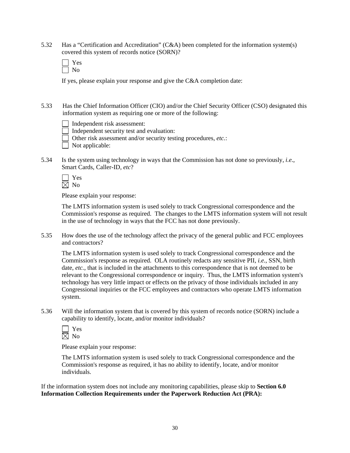5.32 Has a "Certification and Accreditation" (C&A) been completed for the information system(s) covered this system of records notice (SORN)?

| - |
|---|
|   |

If yes, please explain your response and give the C&A completion date:

5.33 Has the Chief Information Officer (CIO) and/or the Chief Security Officer (CSO) designated this information system as requiring one or more of the following:

Independent risk assessment:

Independent security test and evaluation:

Other risk assessment and/or security testing procedures, *etc.*:

 $\overline{\Box}$  Not applicable:

5.34 Is the system using technology in ways that the Commission has not done so previously, *i.e*., Smart Cards, Caller-ID, *etc*?

Please explain your response:

The LMTS information system is used solely to track Congressional correspondence and the Commission's response as required. The changes to the LMTS information system will not result in the use of technology in ways that the FCC has not done previously.

5.35 How does the use of the technology affect the privacy of the general public and FCC employees and contractors?

The LMTS information system is used solely to track Congressional correspondence and the Commission's response as required. OLA routinely redacts any sensitive PII, *i.e.*, SSN, birth date, *etc.*, that is included in the attachments to this correspondence that is not deemed to be relevant to the Congressional correspondence or inquiry. Thus, the LMTS information system's technology has very little impact or effects on the privacy of those individuals included in any Congressional inquiries or the FCC employees and contractors who operate LMTS information system.

5.36 Will the information system that is covered by this system of records notice (SORN) include a capability to identify, locate, and/or monitor individuals?

Please explain your response:

 The LMTS information system is used solely to track Congressional correspondence and the Commission's response as required, it has no ability to identify, locate, and/or monitor individuals.

If the information system does not include any monitoring capabilities, please skip to **Section 6.0 Information Collection Requirements under the Paperwork Reduction Act (PRA):**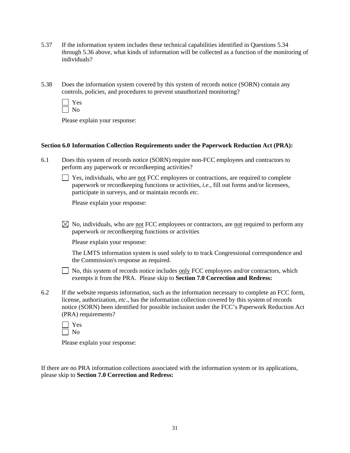- 5.37 If the information system includes these technical capabilities identified in Questions 5.34 through 5.36 above, what kinds of information will be collected as a function of the monitoring of individuals?
- 5.38 Does the information system covered by this system of records notice (SORN) contain any controls, policies, and procedures to prevent unauthorized monitoring?
	- Yes  $\Box$  No

#### **Section 6.0 Information Collection Requirements under the Paperwork Reduction Act (PRA):**

6.1 Does this system of records notice (SORN) require non-FCC employees and contractors to perform any paperwork or recordkeeping activities?

 $\Box$  Yes, individuals, who are not FCC employees or contractions, are required to complete paperwork or recordkeeping functions or activities, *i.e.*, fill out forms and/or licensees, participate in surveys, and or maintain records *etc*.

Please explain your response:

 $\boxtimes$  No, individuals, who are <u>not</u> FCC employees or contractors, are not required to perform any paperwork or recordkeeping functions or activities

Please explain your response:

 The LMTS information system is used solely to to track Congressional correspondence and the Commission's response as required.

 $\Box$  No, this system of records notice includes only FCC employees and/or contractors, which exempts it from the PRA. Please skip to **Section 7.0 Correction and Redress:** 

- 6.2 If the website requests information, such as the information necessary to complete an FCC form, license, authorization, *etc*., has the information collection covered by this system of records notice (SORN) been identified for possible inclusion under the FCC's Paperwork Reduction Act (PRA) requirements?
	- Yes  $\Box$  No

Please explain your response:

If there are no PRA information collections associated with the information system or its applications, please skip to **Section 7.0 Correction and Redress:**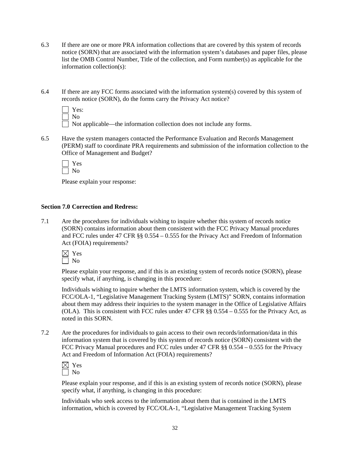- 6.3 If there are one or more PRA information collections that are covered by this system of records notice (SORN) that are associated with the information system's databases and paper files, please list the OMB Control Number, Title of the collection, and Form number(s) as applicable for the information collection(s):
- 6.4 If there are any FCC forms associated with the information system(s) covered by this system of records notice (SORN), do the forms carry the Privacy Act notice?

| Yes: |  |
|------|--|
| Nο   |  |

 $\Box$  Not applicable—the information collection does not include any forms.

6.5 Have the system managers contacted the Performance Evaluation and Records Management (PERM) staff to coordinate PRA requirements and submission of the information collection to the Office of Management and Budget?

 Yes  $\Box$  No

Please explain your response:

#### **Section 7.0 Correction and Redress:**

7.1 Are the procedures for individuals wishing to inquire whether this system of records notice (SORN) contains information about them consistent with the FCC Privacy Manual procedures and FCC rules under 47 CFR §§ 0.554 – 0.555 for the Privacy Act and Freedom of Information Act (FOIA) requirements?



Please explain your response, and if this is an existing system of records notice (SORN), please specify what, if anything, is changing in this procedure:

Individuals wishing to inquire whether the LMTS information system, which is covered by the FCC/OLA-1, "Legislative Management Tracking System (LMTS)" SORN, contains information about them may address their inquiries to the system manager in the Office of Legislative Affairs (OLA). This is consistent with FCC rules under 47 CFR  $\S$ § 0.554 – 0.555 for the Privacy Act, as noted in this SORN.

7.2 Are the procedures for individuals to gain access to their own records/information/data in this information system that is covered by this system of records notice (SORN) consistent with the FCC Privacy Manual procedures and FCC rules under 47 CFR §§ 0.554 – 0.555 for the Privacy Act and Freedom of Information Act (FOIA) requirements?

| r |
|---|
| ١ |

Please explain your response, and if this is an existing system of records notice (SORN), please specify what, if anything, is changing in this procedure:

Individuals who seek access to the information about them that is contained in the LMTS information, which is covered by FCC/OLA-1, "Legislative Management Tracking System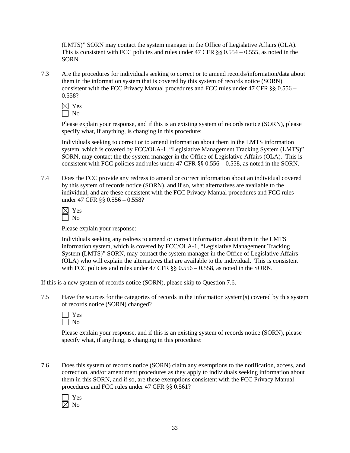(LMTS)" SORN may contact the system manager in the Office of Legislative Affairs (OLA). This is consistent with FCC policies and rules under 47 CFR  $\S$ § 0.554 – 0.555, as noted in the SORN.

7.3 Are the procedures for individuals seeking to correct or to amend records/information/data about them in the information system that is covered by this system of records notice (SORN) consistent with the FCC Privacy Manual procedures and FCC rules under 47 CFR §§ 0.556 – 0.558?

Please explain your response, and if this is an existing system of records notice (SORN), please specify what, if anything, is changing in this procedure:

Individuals seeking to correct or to amend information about them in the LMTS information system, which is covered by FCC/OLA-1, "Legislative Management Tracking System (LMTS)" SORN, may contact the the system manager in the Office of Legislative Affairs (OLA). This is consistent with FCC policies and rules under 47 CFR §§ 0.556 – 0.558, as noted in the SORN.

7.4 Does the FCC provide any redress to amend or correct information about an individual covered by this system of records notice (SORN), and if so, what alternatives are available to the individual, and are these consistent with the FCC Privacy Manual procedures and FCC rules under 47 CFR §§ 0.556 – 0.558?

Please explain your response:

Individuals seeking any redress to amend or correct information about them in the LMTS information system, which is covered by FCC/OLA-1, "Legislative Management Tracking System (LMTS)" SORN, may contact the system manager in the Office of Legislative Affairs (OLA) who will explain the alternatives that are available to the individual. This is consistent with FCC policies and rules under 47 CFR §§ 0.556 – 0.558, as noted in the SORN.

If this is a new system of records notice (SORN), please skip to Question 7.6.

7.5 Have the sources for the categories of records in the information system(s) covered by this system of records notice (SORN) changed?

| ĸ<br>٣ |
|--------|
|        |

Please explain your response, and if this is an existing system of records notice (SORN), please specify what, if anything, is changing in this procedure:

7.6 Does this system of records notice (SORN) claim any exemptions to the notification, access, and correction, and/or amendment procedures as they apply to individuals seeking information about them in this SORN, and if so, are these exemptions consistent with the FCC Privacy Manual procedures and FCC rules under 47 CFR §§ 0.561?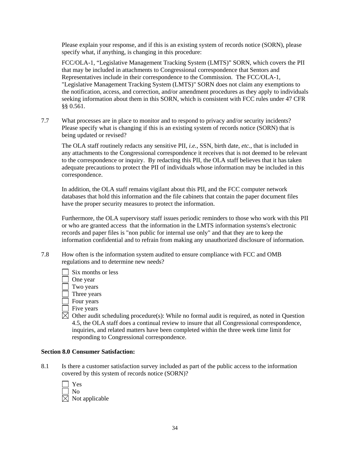Please explain your response, and if this is an existing system of records notice (SORN), please specify what, if anything, is changing in this procedure:

FCC/OLA-1, "Legislative Management Tracking System (LMTS)" SORN, which covers the PII that may be included in attachments to Congressional correspondence that Sentors and Representatives include in their correspondence to the Commission. The FCC/OLA-1, "Legislative Management Tracking System (LMTS)" SORN does not claim any exemptions to the notification, access, and correction, and/or amendment procedures as they apply to individuals seeking information about them in this SORN, which is consistent with FCC rules under 47 CFR §§ 0.561.

7.7 What processes are in place to monitor and to respond to privacy and/or security incidents? Please specify what is changing if this is an existing system of records notice (SORN) that is being updated or revised?

 The OLA staff routinely redacts any sensitive PII, *i.e.*, SSN, birth date, *etc.*, that is included in any attachments to the Congressional correspondence it receives that is not deemed to be relevant to the correspondence or inquiry. By redacting this PII, the OLA staff believes that it has taken adequate precautions to protect the PII of individuals whose information may be included in this correspondence.

In addition, the OLA staff remains vigilant about this PII, and the FCC computer network databases that hold this information and the file cabinets that contain the paper document files have the proper security measures to protect the information.

Furthermore, the OLA supervisory staff issues periodic reminders to those who work with this PII or who are granted access that the information in the LMTS information systems's electronic records and paper files is "non public for internal use only" and that they are to keep the information confidential and to refrain from making any unauthorized disclosure of information.

- 7.8 How often is the information system audited to ensure compliance with FCC and OMB regulations and to determine new needs?
	- $\Box$  Six months or less One year Two years Three years Four years Five years
	- $\boxtimes$  Other audit scheduling procedure(s): While no formal audit is required, as noted in Question 4.5, the OLA staff does a continual review to insure that all Congressional correspondence, inquiries, and related matters have been completed within the three week time limit for responding to Congressional correspondence.

#### **Section 8.0 Consumer Satisfaction:**

8.1 Is there a customer satisfaction survey included as part of the public access to the information covered by this system of records notice (SORN)?

| Yes                        |
|----------------------------|
| No                         |
| $\boxtimes$ Not applicable |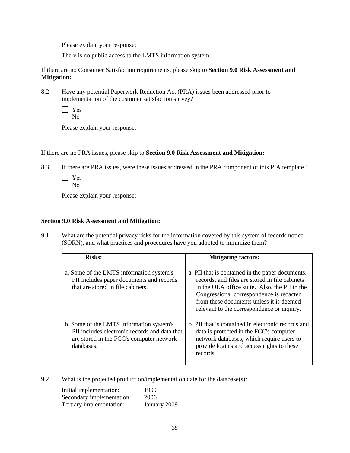There is no public access to the LMTS information system.

If there are no Consumer Satisfaction requirements, please skip to **Section 9.0 Risk Assessment and Mitigation:** 

8.2 Have any potential Paperwork Reduction Act (PRA) issues been addressed prior to implementation of the customer satisfaction survey?

 Yes  $\Box$  No

Please explain your response:

If there are no PRA issues, please skip to **Section 9.0 Risk Assessment and Mitigation:** 

8.3 If there are PRA issues, were these issues addressed in the PRA component of this PIA template?

Please explain your response:

#### **Section 9.0 Risk Assessment and Mitigation:**

9.1 What are the potential privacy risks for the information covered by this system of records notice (SORN), and what practices and procedures have you adopted to minimize them?

| <b>Risks:</b>                                                                                                                                       | <b>Mitigating factors:</b>                                                                                                                                                                                                                                                                |
|-----------------------------------------------------------------------------------------------------------------------------------------------------|-------------------------------------------------------------------------------------------------------------------------------------------------------------------------------------------------------------------------------------------------------------------------------------------|
| a. Some of the LMTS information system's<br>PII includes paper documents and records<br>that are stored in file cabinets.                           | a. PII that is contained in the paper documents,<br>records, and files are stored in file cabinets<br>in the OLA office suite. Also, the PII in the<br>Congressional correspondence is redacted<br>from these documents unless it is deemed<br>relevant to the correspondence or inquiry. |
| b. Some of the LMTS information system's<br>PII includes electronic records and data that<br>are stored in the FCC's computer network<br>databases. | b. PII that is contained in electronic records and<br>data is protected in the FCC's computer<br>network databases, which require users to<br>provide login's and access rights to these<br>records.                                                                                      |

9.2 What is the projected production/implementation date for the database(s):

| Initial implementation:   | 1999         |
|---------------------------|--------------|
| Secondary implementation: | 2006         |
| Tertiary implementation:  | January 2009 |